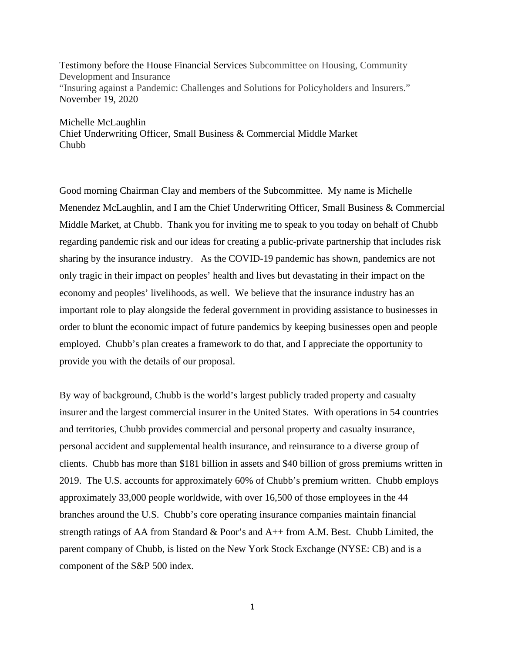Testimony before the House Financial Services Subcommittee on Housing, Community Development and Insurance "Insuring against a Pandemic: Challenges and Solutions for Policyholders and Insurers." November 19, 2020

Michelle McLaughlin Chief Underwriting Officer, Small Business & Commercial Middle Market Chubb

Good morning Chairman Clay and members of the Subcommittee. My name is Michelle Menendez McLaughlin, and I am the Chief Underwriting Officer, Small Business & Commercial Middle Market, at Chubb. Thank you for inviting me to speak to you today on behalf of Chubb regarding pandemic risk and our ideas for creating a public-private partnership that includes risk sharing by the insurance industry. As the COVID-19 pandemic has shown, pandemics are not only tragic in their impact on peoples' health and lives but devastating in their impact on the economy and peoples' livelihoods, as well. We believe that the insurance industry has an important role to play alongside the federal government in providing assistance to businesses in order to blunt the economic impact of future pandemics by keeping businesses open and people employed. Chubb's plan creates a framework to do that, and I appreciate the opportunity to provide you with the details of our proposal.

By way of background, Chubb is the world's largest publicly traded property and casualty insurer and the largest commercial insurer in the United States. With operations in 54 countries and territories, Chubb provides commercial and personal property and casualty insurance, personal accident and supplemental health insurance, and reinsurance to a diverse group of clients. Chubb has more than \$181 billion in assets and \$40 billion of gross premiums written in 2019. The U.S. accounts for approximately 60% of Chubb's premium written. Chubb employs approximately 33,000 people worldwide, with over 16,500 of those employees in the 44 branches around the U.S. Chubb's core operating insurance companies maintain financial strength ratings of AA from Standard & Poor's and A++ from A.M. Best. Chubb Limited, the parent company of Chubb, is listed on the New York Stock Exchange (NYSE: CB) and is a component of the S&P 500 index.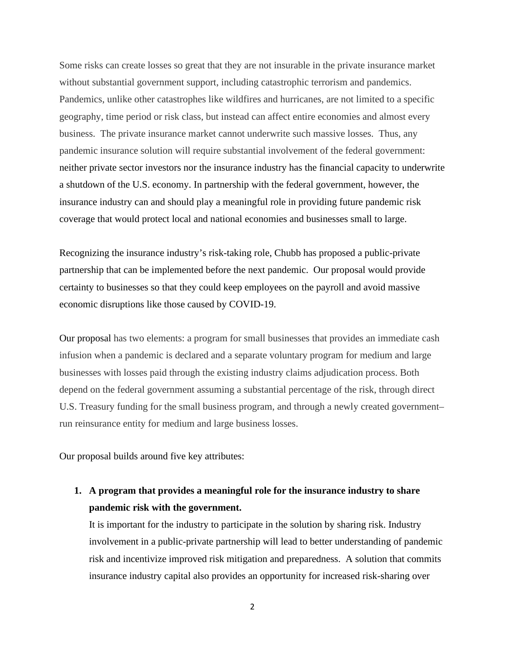Some risks can create losses so great that they are not insurable in the private insurance market without substantial government support, including catastrophic terrorism and pandemics. Pandemics, unlike other catastrophes like wildfires and hurricanes, are not limited to a specific geography, time period or risk class, but instead can affect entire economies and almost every business. The private insurance market cannot underwrite such massive losses. Thus, any pandemic insurance solution will require substantial involvement of the federal government: neither private sector investors nor the insurance industry has the financial capacity to underwrite a shutdown of the U.S. economy. In partnership with the federal government, however, the insurance industry can and should play a meaningful role in providing future pandemic risk coverage that would protect local and national economies and businesses small to large.

Recognizing the insurance industry's risk-taking role, Chubb has proposed a public-private partnership that can be implemented before the next pandemic. Our proposal would provide certainty to businesses so that they could keep employees on the payroll and avoid massive economic disruptions like those caused by COVID-19.

Our proposal has two elements: a program for small businesses that provides an immediate cash infusion when a pandemic is declared and a separate voluntary program for medium and large businesses with losses paid through the existing industry claims adjudication process. Both depend on the federal government assuming a substantial percentage of the risk, through direct U.S. Treasury funding for the small business program, and through a newly created government– run reinsurance entity for medium and large business losses.

Our proposal builds around five key attributes:

**1. A program that provides a meaningful role for the insurance industry to share pandemic risk with the government.**

It is important for the industry to participate in the solution by sharing risk. Industry involvement in a public-private partnership will lead to better understanding of pandemic risk and incentivize improved risk mitigation and preparedness. A solution that commits insurance industry capital also provides an opportunity for increased risk-sharing over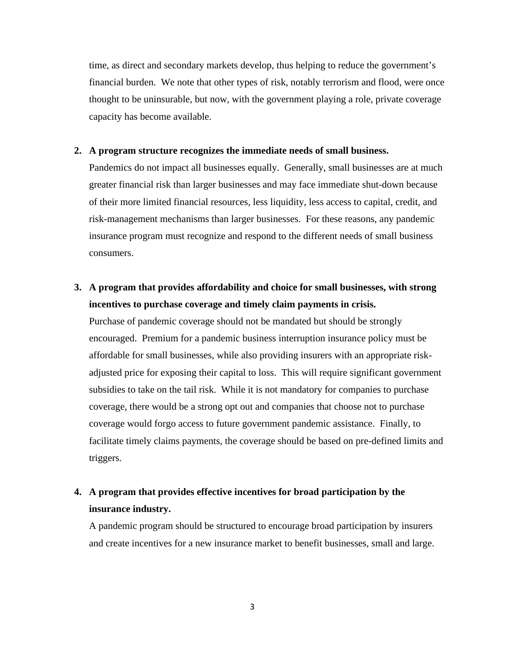time, as direct and secondary markets develop, thus helping to reduce the government's financial burden. We note that other types of risk, notably terrorism and flood, were once thought to be uninsurable, but now, with the government playing a role, private coverage capacity has become available.

### **2. A program structure recognizes the immediate needs of small business.**

Pandemics do not impact all businesses equally. Generally, small businesses are at much greater financial risk than larger businesses and may face immediate shut-down because of their more limited financial resources, less liquidity, less access to capital, credit, and risk-management mechanisms than larger businesses. For these reasons, any pandemic insurance program must recognize and respond to the different needs of small business consumers.

# **3. A program that provides affordability and choice for small businesses, with strong incentives to purchase coverage and timely claim payments in crisis.**

Purchase of pandemic coverage should not be mandated but should be strongly encouraged. Premium for a pandemic business interruption insurance policy must be affordable for small businesses, while also providing insurers with an appropriate riskadjusted price for exposing their capital to loss. This will require significant government subsidies to take on the tail risk. While it is not mandatory for companies to purchase coverage, there would be a strong opt out and companies that choose not to purchase coverage would forgo access to future government pandemic assistance. Finally, to facilitate timely claims payments, the coverage should be based on pre-defined limits and triggers.

## **4. A program that provides effective incentives for broad participation by the insurance industry.**

A pandemic program should be structured to encourage broad participation by insurers and create incentives for a new insurance market to benefit businesses, small and large.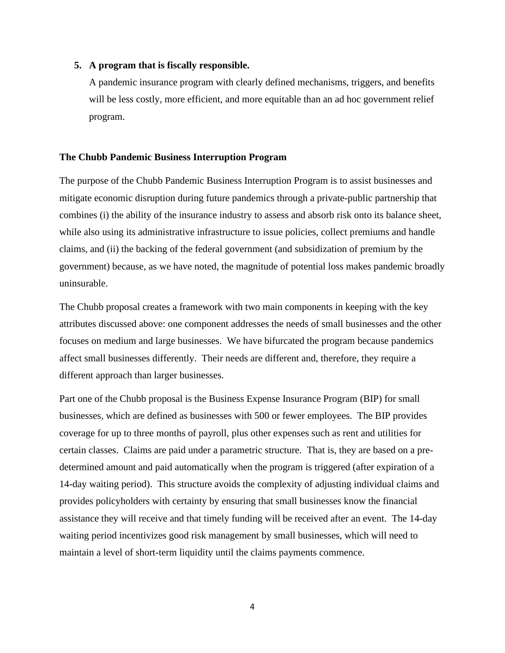#### **5. A program that is fiscally responsible.**

A pandemic insurance program with clearly defined mechanisms, triggers, and benefits will be less costly, more efficient, and more equitable than an ad hoc government relief program.

#### **The Chubb Pandemic Business Interruption Program**

The purpose of the Chubb Pandemic Business Interruption Program is to assist businesses and mitigate economic disruption during future pandemics through a private-public partnership that combines (i) the ability of the insurance industry to assess and absorb risk onto its balance sheet, while also using its administrative infrastructure to issue policies, collect premiums and handle claims, and (ii) the backing of the federal government (and subsidization of premium by the government) because, as we have noted, the magnitude of potential loss makes pandemic broadly uninsurable.

The Chubb proposal creates a framework with two main components in keeping with the key attributes discussed above: one component addresses the needs of small businesses and the other focuses on medium and large businesses. We have bifurcated the program because pandemics affect small businesses differently. Their needs are different and, therefore, they require a different approach than larger businesses.

Part one of the Chubb proposal is the Business Expense Insurance Program (BIP) for small businesses, which are defined as businesses with 500 or fewer employees. The BIP provides coverage for up to three months of payroll, plus other expenses such as rent and utilities for certain classes. Claims are paid under a parametric structure. That is, they are based on a predetermined amount and paid automatically when the program is triggered (after expiration of a 14-day waiting period). This structure avoids the complexity of adjusting individual claims and provides policyholders with certainty by ensuring that small businesses know the financial assistance they will receive and that timely funding will be received after an event. The 14-day waiting period incentivizes good risk management by small businesses, which will need to maintain a level of short-term liquidity until the claims payments commence.

4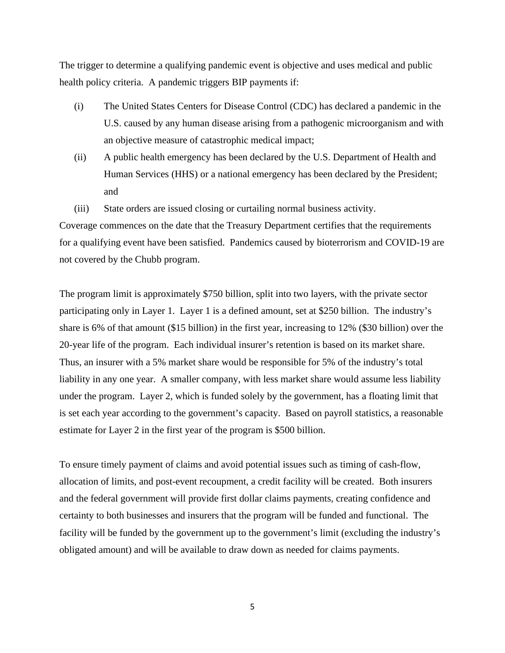The trigger to determine a qualifying pandemic event is objective and uses medical and public health policy criteria. A pandemic triggers BIP payments if:

- (i) The United States Centers for Disease Control (CDC) has declared a pandemic in the U.S. caused by any human disease arising from a pathogenic microorganism and with an objective measure of catastrophic medical impact;
- (ii) A public health emergency has been declared by the U.S. Department of Health and Human Services (HHS) or a national emergency has been declared by the President; and
- (iii) State orders are issued closing or curtailing normal business activity.

Coverage commences on the date that the Treasury Department certifies that the requirements for a qualifying event have been satisfied. Pandemics caused by bioterrorism and COVID-19 are not covered by the Chubb program.

The program limit is approximately \$750 billion, split into two layers, with the private sector participating only in Layer 1. Layer 1 is a defined amount, set at \$250 billion. The industry's share is 6% of that amount (\$15 billion) in the first year, increasing to 12% (\$30 billion) over the 20-year life of the program. Each individual insurer's retention is based on its market share. Thus, an insurer with a 5% market share would be responsible for 5% of the industry's total liability in any one year. A smaller company, with less market share would assume less liability under the program. Layer 2, which is funded solely by the government, has a floating limit that is set each year according to the government's capacity. Based on payroll statistics, a reasonable estimate for Layer 2 in the first year of the program is \$500 billion.

To ensure timely payment of claims and avoid potential issues such as timing of cash-flow, allocation of limits, and post-event recoupment, a credit facility will be created. Both insurers and the federal government will provide first dollar claims payments, creating confidence and certainty to both businesses and insurers that the program will be funded and functional. The facility will be funded by the government up to the government's limit (excluding the industry's obligated amount) and will be available to draw down as needed for claims payments.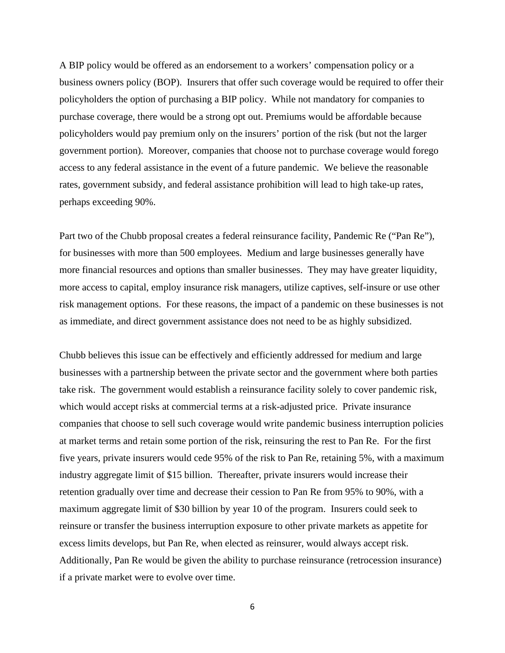A BIP policy would be offered as an endorsement to a workers' compensation policy or a business owners policy (BOP). Insurers that offer such coverage would be required to offer their policyholders the option of purchasing a BIP policy. While not mandatory for companies to purchase coverage, there would be a strong opt out. Premiums would be affordable because policyholders would pay premium only on the insurers' portion of the risk (but not the larger government portion). Moreover, companies that choose not to purchase coverage would forego access to any federal assistance in the event of a future pandemic. We believe the reasonable rates, government subsidy, and federal assistance prohibition will lead to high take-up rates, perhaps exceeding 90%.

Part two of the Chubb proposal creates a federal reinsurance facility, Pandemic Re ("Pan Re"), for businesses with more than 500 employees. Medium and large businesses generally have more financial resources and options than smaller businesses. They may have greater liquidity, more access to capital, employ insurance risk managers, utilize captives, self-insure or use other risk management options. For these reasons, the impact of a pandemic on these businesses is not as immediate, and direct government assistance does not need to be as highly subsidized.

Chubb believes this issue can be effectively and efficiently addressed for medium and large businesses with a partnership between the private sector and the government where both parties take risk. The government would establish a reinsurance facility solely to cover pandemic risk, which would accept risks at commercial terms at a risk-adjusted price. Private insurance companies that choose to sell such coverage would write pandemic business interruption policies at market terms and retain some portion of the risk, reinsuring the rest to Pan Re. For the first five years, private insurers would cede 95% of the risk to Pan Re, retaining 5%, with a maximum industry aggregate limit of \$15 billion. Thereafter, private insurers would increase their retention gradually over time and decrease their cession to Pan Re from 95% to 90%, with a maximum aggregate limit of \$30 billion by year 10 of the program. Insurers could seek to reinsure or transfer the business interruption exposure to other private markets as appetite for excess limits develops, but Pan Re, when elected as reinsurer, would always accept risk. Additionally, Pan Re would be given the ability to purchase reinsurance (retrocession insurance) if a private market were to evolve over time.

6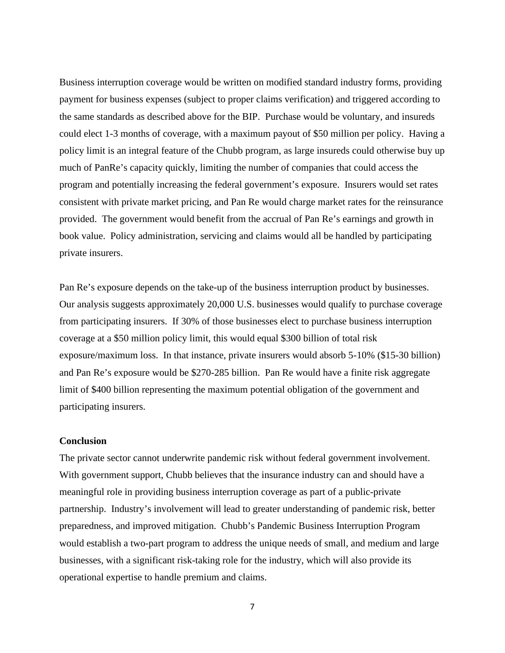Business interruption coverage would be written on modified standard industry forms, providing payment for business expenses (subject to proper claims verification) and triggered according to the same standards as described above for the BIP. Purchase would be voluntary, and insureds could elect 1-3 months of coverage, with a maximum payout of \$50 million per policy. Having a policy limit is an integral feature of the Chubb program, as large insureds could otherwise buy up much of PanRe's capacity quickly, limiting the number of companies that could access the program and potentially increasing the federal government's exposure. Insurers would set rates consistent with private market pricing, and Pan Re would charge market rates for the reinsurance provided. The government would benefit from the accrual of Pan Re's earnings and growth in book value. Policy administration, servicing and claims would all be handled by participating private insurers.

Pan Re's exposure depends on the take-up of the business interruption product by businesses. Our analysis suggests approximately 20,000 U.S. businesses would qualify to purchase coverage from participating insurers. If 30% of those businesses elect to purchase business interruption coverage at a \$50 million policy limit, this would equal \$300 billion of total risk exposure/maximum loss. In that instance, private insurers would absorb 5-10% (\$15-30 billion) and Pan Re's exposure would be \$270-285 billion. Pan Re would have a finite risk aggregate limit of \$400 billion representing the maximum potential obligation of the government and participating insurers.

### **Conclusion**

The private sector cannot underwrite pandemic risk without federal government involvement. With government support, Chubb believes that the insurance industry can and should have a meaningful role in providing business interruption coverage as part of a public-private partnership. Industry's involvement will lead to greater understanding of pandemic risk, better preparedness, and improved mitigation. Chubb's Pandemic Business Interruption Program would establish a two-part program to address the unique needs of small, and medium and large businesses, with a significant risk-taking role for the industry, which will also provide its operational expertise to handle premium and claims.

7